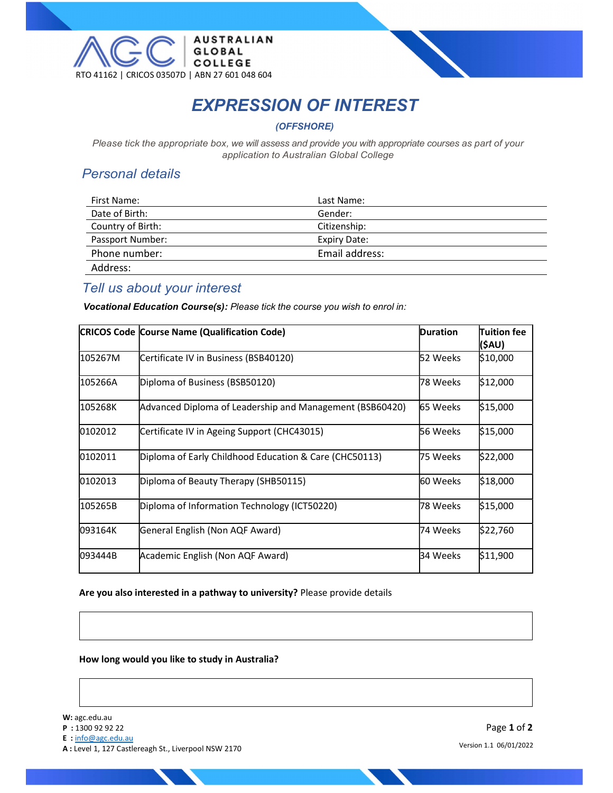

# EXPRESSION OF INTEREST

(OFFSHORE)

Please tick the appropriate box, we will assess and provide you with appropriate courses as part of your application to Australian Global College

# Personal details

| First Name:       | Last Name:     |
|-------------------|----------------|
| Date of Birth:    | Gender:        |
| Country of Birth: | Citizenship:   |
| Passport Number:  | Expiry Date:   |
| Phone number:     | Email address: |
| Address:          |                |

# Tell us about your interest

Vocational Education Course(s): Please tick the course you wish to enrol in:

|          | <b>CRICOS Code Course Name (Qualification Code)</b>      | Duration        | Tuition fee<br>(\$AU) |
|----------|----------------------------------------------------------|-----------------|-----------------------|
| 105267M  | Certificate IV in Business (BSB40120)                    | 52 Weeks        | \$10,000              |
| l105266A | Diploma of Business (BSB50120)                           | l78 Weeks       | \$12,000              |
| l105268K | Advanced Diploma of Leadership and Management (BSB60420) | <b>65 Weeks</b> | \$15,000              |
| 0102012  | Certificate IV in Ageing Support (CHC43015)              | 56 Weeks        | \$15,000              |
| 0102011  | Diploma of Early Childhood Education & Care (CHC50113)   | 175 Weeks       | \$22,000              |
| 0102013  | Diploma of Beauty Therapy (SHB50115)                     | <b>60 Weeks</b> | \$18,000              |
| l105265B | Diploma of Information Technology (ICT50220)             | l78 Weeks       | \$15,000              |
| 093164K  | General English (Non AQF Award)                          | l74 Weeks       | \$22,760              |
| 093444B  | Academic English (Non AQF Award)                         | 34 Weeks        | \$11,900              |

Are you also interested in a pathway to university? Please provide details

How long would you like to study in Australia?

W: agc.edu.au

- P : 1300 92 92 22
- E : info@agc.edu.au

A : Level 1, 127 Castlereagh St., Liverpool NSW 2170

Page 1 of 2